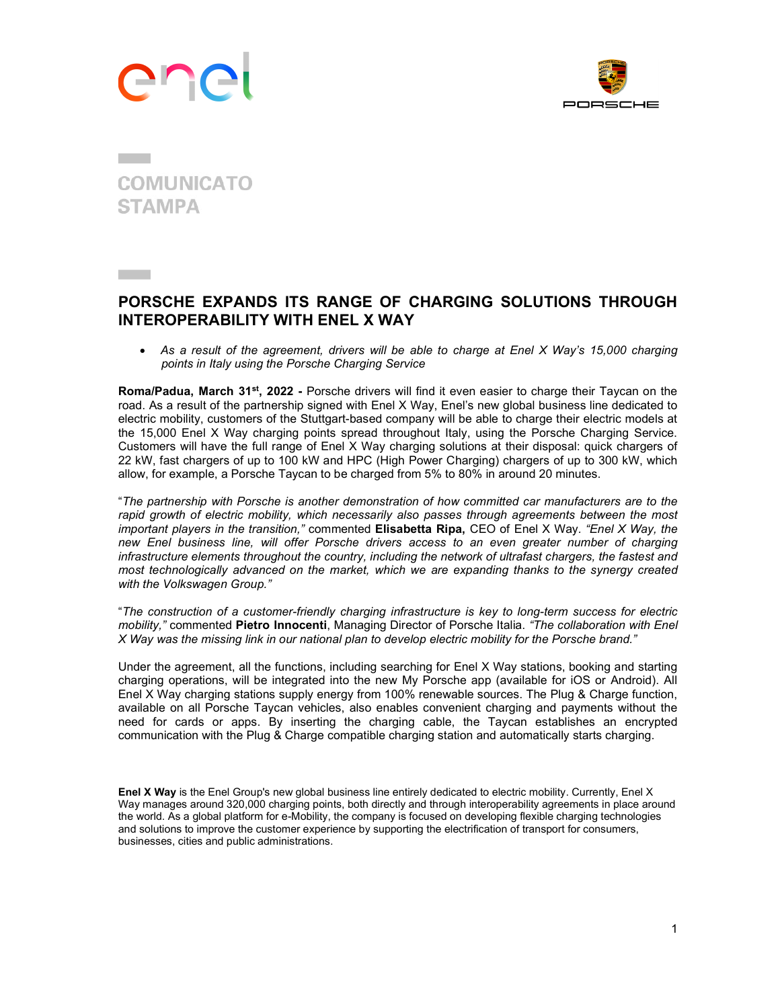



## **COMUNICATO STAMPA**

## PORSCHE EXPANDS ITS RANGE OF CHARGING SOLUTIONS THROUGH INTEROPERABILITY WITH ENEL X WAY

 As a result of the agreement, drivers will be able to charge at Enel X Way's 15,000 charging points in Italy using the Porsche Charging Service

Roma/Padua, March 31<sup>st</sup>, 2022 - Porsche drivers will find it even easier to charge their Taycan on the road. As a result of the partnership signed with Enel X Way, Enel's new global business line dedicated to electric mobility, customers of the Stuttgart-based company will be able to charge their electric models at the 15,000 Enel X Way charging points spread throughout Italy, using the Porsche Charging Service. Customers will have the full range of Enel X Way charging solutions at their disposal: quick chargers of 22 kW, fast chargers of up to 100 kW and HPC (High Power Charging) chargers of up to 300 kW, which allow, for example, a Porsche Taycan to be charged from 5% to 80% in around 20 minutes.

"The partnership with Porsche is another demonstration of how committed car manufacturers are to the rapid growth of electric mobility, which necessarily also passes through agreements between the most important players in the transition," commented Elisabetta Ripa, CEO of Enel X Way. "Enel X Way, the new Enel business line, will offer Porsche drivers access to an even greater number of charging infrastructure elements throughout the country, including the network of ultrafast chargers, the fastest and most technologically advanced on the market, which we are expanding thanks to the synergy created with the Volkswagen Group."

"The construction of a customer-friendly charging infrastructure is key to long-term success for electric mobility," commented Pietro Innocenti, Managing Director of Porsche Italia. "The collaboration with Enel X Way was the missing link in our national plan to develop electric mobility for the Porsche brand."

Under the agreement, all the functions, including searching for Enel X Way stations, booking and starting charging operations, will be integrated into the new My Porsche app (available for iOS or Android). All Enel X Way charging stations supply energy from 100% renewable sources. The Plug & Charge function, available on all Porsche Taycan vehicles, also enables convenient charging and payments without the need for cards or apps. By inserting the charging cable, the Taycan establishes an encrypted communication with the Plug & Charge compatible charging station and automatically starts charging.

Enel X Way is the Enel Group's new global business line entirely dedicated to electric mobility. Currently, Enel X Way manages around 320,000 charging points, both directly and through interoperability agreements in place around the world. As a global platform for e-Mobility, the company is focused on developing flexible charging technologies and solutions to improve the customer experience by supporting the electrification of transport for consumers, businesses, cities and public administrations.